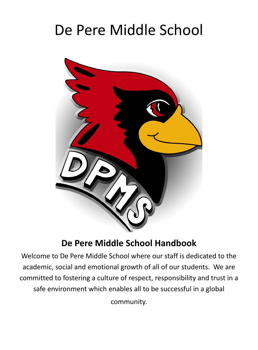# De Pere Middle School



# **De Pere Middle School Handbook**

Welcome to De Pere Middle School where our staff is dedicated to the academic, social and emotional growth of all of our students. We are committed to fostering a culture of respect, responsibility and trust in a safe environment which enables all to be successful in a global community.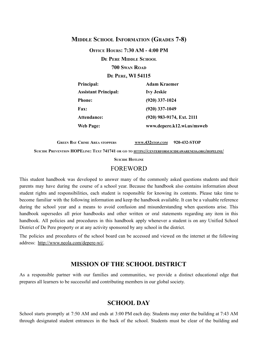#### **MIDDLE SCHOOL INFORMATION (GRADES 7-8)**

**OFFICE HOURS: 7:30 AM - 4:00 PM**

**D<sup>E</sup> PERE MIDDLE SCHOOL**

#### **700 SWAN ROAD**

**D<sup>E</sup> PERE, WI 54115**

| Principal:                  | <b>Adam Kraemer</b>        |
|-----------------------------|----------------------------|
| <b>Assistant Principal:</b> | <b>Ivy Jeskie</b>          |
| <b>Phone:</b>               | $(920)$ 337-1024           |
| <b>Fax:</b>                 | $(920)$ 337-1049           |
| Attendance:                 | (920) 983-9174, Ext. 2111  |
| Web Page:                   | www.depere.k12.wi.us/msweb |

**GREEN BAY CRIME AREA STOPPERS WWW[.432](http://www.432stop.com)STOP.COM 920-432-STOP**

SUICIDE PREVENTION HOPELINE: TEXT 741741 OR GO TO HTTPS://[CENTERFORSUICIDEAWARENESS](https://centerforsuicideawareness.org/hopeline/).ORG/HOPELINE/

**SUICIDE HOTLINE** 

#### FOREWORD

This student handbook was developed to answer many of the commonly asked questions students and their parents may have during the course of a school year. Because the handbook also contains information about student rights and responsibilities, each student is responsible for knowing its contents. Please take time to become familiar with the following information and keep the handbook available. It can be a valuable reference during the school year and a means to avoid confusion and misunderstanding when questions arise. This handbook supersedes all prior handbooks and other written or oral statements regarding any item in this handbook. All policies and procedures in this handbook apply whenever a student is on any Unified School District of De Pere property or at any activity sponsored by any school in the district.

The policies and procedures of the school board can be accessed and viewed on the internet at the following address: http://www.neola.com/depere-wi/.

#### **MISSION OF THE SCHOOL DISTRICT**

As a responsible partner with our families and communities, we provide a distinct educational edge that prepares all learners to be successful and contributing members in our global society.

# **SCHOOL DAY**

School starts promptly at 7:50 AM and ends at 3:00 PM each day. Students may enter the building at 7:43 AM through designated student entrances in the back of the school. Students must be clear of the building and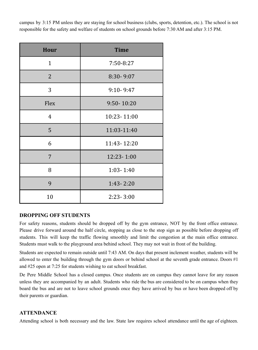campus by 3:15 PM unless they are staying for school business (clubs, sports, detention, etc.). The school is not responsible for the safety and welfare of students on school grounds before 7:30 AM and after 3:15 PM.

| Hour           | <b>Time</b>   |
|----------------|---------------|
| $\mathbf{1}$   | 7:50-8:27     |
| $\overline{2}$ | 8:30-9:07     |
| 3              | $9:10 - 9:47$ |
| Flex           | 9:50-10:20    |
| 4              | 10:23-11:00   |
| 5              | 11:03-11:40   |
| 6              | 11:43-12:20   |
| 7              | 12:23-1:00    |
| 8              | $1:03 - 1:40$ |
| 9              | $1:43 - 2:20$ |
| 10             | $2:23 - 3:00$ |

#### **DROPPING OFF STUDENTS**

For safety reasons, students should be dropped off by the gym entrance, NOT by the front office entrance. Please drive forward around the half circle, stopping as close to the stop sign as possible before dropping off students. This will keep the traffic flowing smoothly and limit the congestion at the main office entrance. Students must walk to the playground area behind school. They may not wait in front of the building.

Students are expected to remain outside until 7:43 AM. On days that present inclement weather, students will be allowed to enter the building through the gym doors or behind school at the seventh grade entrance. Doors #1 and #25 open at 7:25 for students wishing to eat school breakfast.

De Pere Middle School has a closed campus. Once students are on campus they cannot leave for any reason unless they are accompanied by an adult. Students who ride the bus are considered to be on campus when they board the bus and are not to leave school grounds once they have arrived by bus or have been dropped off by their parents or guardian.

#### **ATTENDANCE**

Attending school is both necessary and the law. State law requires school attendance until the age of eighteen.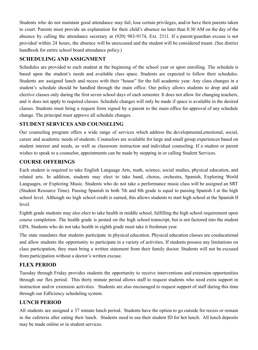Students who do not maintain good attendance may fail, lose certain privileges, and/or have their parents taken to court. Parents must provide an explanation for their child's absence no later than 8:30 AM on the day of the absence by calling the attendance secretary at (920) 983-9174, Ext. 2111. If a parent/guardian excuse is not provided within 24 hours, the absence will be unexcused and the student will be considered truant. (See district handbook for entire school board attendance policy.)

# **SCHEDULING AND ASSIGNMENT**

Schedules are provided to each student at the beginning of the school year or upon enrolling. The schedule is based upon the student's needs and available class space. Students are expected to follow their schedules. Students are assigned lunch and recess with their "house" for the full academic year. Any class changes in a student's schedule should be handled through the main office. Our policy allows students to drop and add elective classes only during the first seven school days of each semester. It does not allow for changing teachers, and it does not apply to required classes. Schedule changes will only be made if space is available in the desired classes. Students must bring a request form signed by a parent to the main office for approval of any schedule change. The principal must approve all schedule changes.

# **STUDENT SERVICES AND COUNSELING**

Our counseling program offers a wide range of services which address the developmental,emotional, social, career and academic needs of students. Counselors are available for large and small group experiences based on student interest and needs, as well as classroom instruction and individual counseling. If a student or parent wishes to speak to a counselor, appointments can be made by stopping in or calling Student Services.

# **COURSE OFFERINGS**

Each student is required to take English Language Arts, math, science, social studies, physical education, and related arts. In addition, students may elect to take band, chorus, orchestra, Spanish, Exploring World Languages, or Exploring Music. Students who do not take a performance music class will be assigned an SRT (Student Resource Time). Passing Spanish in both 7th and 8th grade is equal to passing Spanish I at the high school level. Although no high school credit is earned, this allows students to start high school at the Spanish II level.

Eighth grade students may also elect to take health in middle school, fulfilling the high school requirement upon course completion. The health grade is posted on the high school transcript, but is not factored into the student GPA. Students who do not take health in eighth grade must take it freshman year.

The state mandates that students participate in physical education. Physical education classes are coeducational and allow students the opportunity to participate in a variety of activities. If students possess any limitations on class participation, they must bring a written statement from their family doctor. Students will not be excused from participation without a doctor's written excuse.

# **FLEX PERIOD**

Tuesday through Friday provides students the opportunity to receive interventions and extension opportunities through our flex period. This thirty minute period allows staff to request students who need extra support in instruction and/or extension activities. Students are also encouraged to request support of staff during this time through our Edficiency scheduling system.

# **LUNCH PERIOD**

All students are assigned a 37 minute lunch period. Students have the option to go outside for recess or remain in the cafeteria after eating their lunch. Students need to use their student ID for hot lunch. All lunch deposits may be made online or in student services.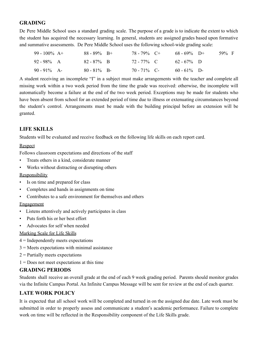# **GRADING**

De Pere Middle School uses a standard grading scale. The purpose of a grade is to indicate the extent to which the student has acquired the necessary learning. In general, students are assigned grades based upon formative and summative assessments. De Pere Middle School uses the following school-wide grading scale:

| 99 - 100% $A+$ | $88 - 89\%$ B+ | $78 - 79\%$ C+ | $68 - 69\%$ D+ | 59% F |  |
|----------------|----------------|----------------|----------------|-------|--|
| $92 - 98\%$ A  | $82 - 87\%$ B  | 72 - 77% C     | $62 - 67\%$ D  |       |  |
| $90 - 91\%$ A- | $80 - 81\%$ B- | $70 - 71\%$ C- | $60 - 61\%$ D- |       |  |

A student receiving an incomplete "I" in a subject must make arrangements with the teacher and complete all missing work within a two week period from the time the grade was received: otherwise, the incomplete will automatically become a failure at the end of the two week period. Exceptions may be made for students who have been absent from school for an extended period of time due to illness or extenuating circumstances beyond the student's control. Arrangements must be made with the building principal before an extension will be granted.

# **LIFE SKILLS**

Students will be evaluated and receive feedback on the following life skills on each report card.

#### Respect

Follows classroom expectations and directions of the staff

- Treats others in a kind, considerate manner
- Works without distracting or disrupting others

#### **Responsibility**

- Is on time and prepared for class
- Completes and hands in assignments on time
- Contributes to a safe environment for themselves and others

#### **Engagement**

- Listens attentively and actively participates in class
- Puts forth his or her best effort
- Advocates for self when needed

#### Marking Scale for Life Skills

- 4 = Independently meets expectations
- $3$  = Meets expectations with minimal assistance
- $2$  = Partially meets expectations
- 1 = Does not meet expectations at this time

#### **GRADING PERIODS**

Students shall receive an overall grade at the end of each 9 week grading period. Parents should monitor grades via the Infinite Campus Portal. An Infinite Campus Message will be sent for review at the end of each quarter.

# **LATE WORK POLICY**

It is expected that all school work will be completed and turned in on the assigned due date. Late work must be submitted in order to properly assess and communicate a student's academic performance. Failure to complete work on time will be reflected in the Responsibility component of the Life Skills grade.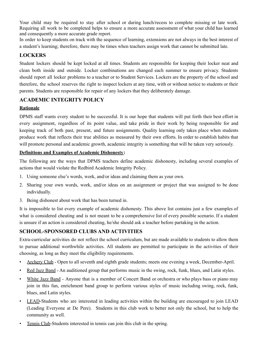Your child may be required to stay after school or during lunch/recess to complete missing or late work. Requiring all work to be completed helps to ensure a more accurate assessment of what your child has learned and consequently a more accurate grade report.

In order to keep students on track with the sequence of learning, extensions are not always in the best interest of a student's learning; therefore, there may be times when teachers assign work that cannot be submitted late.

# **LOCKERS**

Student lockers should be kept locked at all times. Students are responsible for keeping their locker neat and clean both inside and outside. Locker combinations are changed each summer to ensure privacy. Students should report all locker problems to a teacher or to Student Services. Lockers are the property of the school and therefore, the school reserves the right to inspect lockers at any time, with or without notice to students or their parents. Students are responsible for repair of any lockers that they deliberately damage.

### **ACADEMIC INTEGRITY POLICY**

#### **Rationale**

DPMS staff wants every student to be successful. It is our hope that students will put forth their best effort in every assignment, regardless of its point value, and take pride in their work by being responsible for and keeping track of both past, present, and future assignments. Quality learning only takes place when students produce work that reflects their true abilities as measured by their own efforts. In order to establish habits that will promote personal and academic growth, academic integrity is something that will be taken very seriously.

#### **Definitions and Examples of Academic Dishonesty:**

The following are the ways that DPMS teachers define academic dishonesty, including several examples of actions that would violate the Redbird Academic Integrity Policy.

- 1. Using someone else's words, work, and/or ideas and claiming them as your own.
- 2. Sharing your own words, work, and/or ideas on an assignment or project that was assigned to be done individually.
- 3. Being dishonest about work that has been turned in.

It is impossible to list every example of academic dishonesty. This above list contains just a few examples of what is considered cheating and is not meant to be a comprehensive list of every possible scenario. If a student is unsure if an action is considered cheating, he/she should ask a teacher before partaking in the action.

# **SCHOOL-SPONSORED CLUBS AND ACTIVITIES**

Extra-curricular activities do not reflect the school curriculum, but are made available to students to allow them to pursue additional worthwhile activities. All students are permitted to participate in the activities of their choosing, as long as they meet the eligibility requirements.

- Archery Club Open to all seventh and eighth grade students; meets one evening a week, December-April.
- Red Jazz Band An auditioned group that performs music in the swing, rock, funk, blues, and Latin styles.
- White Jazz Band Anyone that is a member of Concert Band or orchestra or who plays bass or piano may join in this fun, enrichment band group to perform various styles of music including swing, rock, funk, blues, and Latin styles.
- LEAD-Students who are interested in leading activities within the building are encouraged to join LEAD (Leading Everyone at De Pere). Students in this club work to better not only the school, but to help the community as well.
- Tennis Club-Students interested in tennis can join this club in the spring.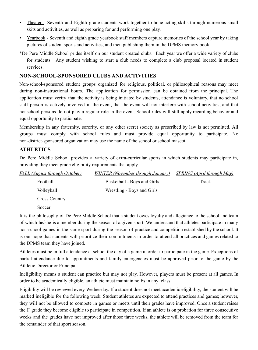- Theater\_- Seventh and Eighth grade students work together to hone acting skills through numerous small skits and activities, as well as preparing for and performing one play.
- Yearbook Seventh and eighth grade yearbook staff members capture memories of the school year by taking pictures of student sports and activities, and then publishing them in the DPMS memory book.
- \*De Pere Middle School prides itself on our student created clubs. Each year we offer a wide variety of clubs for students. Any student wishing to start a club needs to complete a club proposal located in student services.

#### **NON-SCHOOL-SPONSORED CLUBS AND ACTIVITIES**

Non-school-sponsored student groups organized for religious, political, or philosophical reasons may meet during non-instructional hours. The application for permission can be obtained from the principal. The application must verify that the activity is being initiated by students, attendance is voluntary, that no school staff person is actively involved in the event, that the event will not interfere with school activities, and that nonschool persons do not play a regular role in the event. School rules will still apply regarding behavior and equal opportunity to participate.

Membership in any fraternity, sorority, or any other secret society as prescribed by law is not permitted. All groups must comply with school rules and must provide equal opportunity to participate. No non-district-sponsored organization may use the name of the school or school mascot.

#### **ATHLETICS**

De Pere Middle School provides a variety of extra-curricular sports in which students may participate in, providing they meet grade eligibility requirements that apply.

| <b>FALL</b> (August through October) | <b>WINTER</b> (November through January) | <i>SPRING (April through May)</i> |
|--------------------------------------|------------------------------------------|-----------------------------------|
| Football                             | Basketball - Boys and Girls              | Track                             |
| Volleyball                           | Wrestling - Boys and Girls               |                                   |
| <b>Cross Country</b>                 |                                          |                                   |
| Soccer                               |                                          |                                   |
|                                      |                                          |                                   |

It is the philosophy of De Pere Middle School that a student owes loyalty and allegiance to the school and team of which he/she is a member during the season of a given sport. We understand that athletes participate in many non-school games in the same sport during the season of practice and competition established by the school. It is our hope that students will prioritize their commitments in order to attend all practices and games related to the DPMS team they have joined.

Athletes must be in full attendance at school the day of a game in order to participate in the game. Exceptions of partial attendance due to appointments and family emergencies must be approved prior to the game by the Athletic Director or Principal.

Ineligibility means a student can practice but may not play. However, players must be present at all games. In order to be academically eligible, an athlete must maintain no Fs in any class.

Eligibility will be reviewed every Wednesday. If a student does not meet academic eligibility, the student will be marked ineligible for the following week. Student athletes are expected to attend practices and games; however, they will not be allowed to compete in games or meets until their grades have improved. Once a student raises the F grade they become eligible to participate in competition. If an athlete is on probation for three consecutive weeks and the grades have not improved after those three weeks, the athlete will be removed from the team for the remainder of that sport season.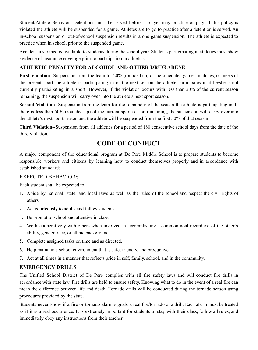Student/Athlete Behavior: Detentions must be served before a player may practice or play. If this policy is violated the athlete will be suspended for a game. Athletes are to go to practice after a detention is served. An in-school suspension or out-of-school suspension results in a one game suspension. The athlete is expected to practice when in school, prior to the suspended game.

Accident insurance is available to students during the school year. Students participating in athletics must show evidence of insurance coverage prior to participation in athletics.

# **ATHLETIC PENALTY FOR ALCOHOLAND OTHER DRUG ABUSE**

**First Violation**--Suspension from the team for 20% (rounded up) of the scheduled games, matches, or meets of the present sport the athlete is participating in or the next season the athlete participates in if he/she is not currently participating in a sport. However, if the violation occurs with less than 20% of the current season remaining, the suspension will carry over into the athlete's next sport season.

**Second Violation**--Suspension from the team for the remainder of the season the athlete is participating in. If there is less than 50% (rounded up) of the current sport season remaining, the suspension will carry over into the athlete's next sport season and the athlete will be suspended from the first 50% of that season.

**Third Violation**--Suspension from all athletics for a period of 180 consecutive school days from the date of the third violation.

# **CODE OF CONDUCT**

A major component of the educational program at De Pere Middle School is to prepare students to become responsible workers and citizens by learning how to conduct themselves properly and in accordance with established standards.

#### EXPECTED BEHAVIORS

Each student shall be expected to:

- 1. Abide by national, state, and local laws as well as the rules of the school and respect the civil rights of others.
- 2. Act courteously to adults and fellow students.
- 3. Be prompt to school and attentive in class.
- 4. Work cooperatively with others when involved in accomplishing a common goal regardless of the other's ability, gender, race, or ethnic background.
- 5. Complete assigned tasks on time and as directed.
- 6. Help maintain a school environment that is safe, friendly, and productive.
- 7. Act at all times in a manner that reflects pride in self, family, school, and in the community.

# **EMERGENCY DRILLS**

The Unified School District of De Pere complies with all fire safety laws and will conduct fire drills in accordance with state law. Fire drills are held to ensure safety. Knowing what to do in the event of a real fire can mean the difference between life and death. Tornado drills will be conducted during the tornado season using procedures provided by the state.

Students never know if a fire or tornado alarm signals a real fire/tornado or a drill. Each alarm must be treated as if it is a real occurrence. It is extremely important for students to stay with their class, follow all rules, and immediately obey any instructions from their teacher.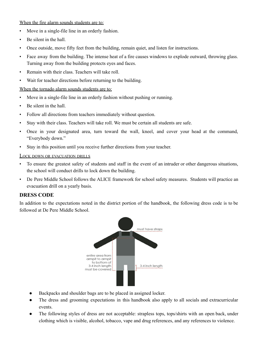#### When the fire alarm sounds students are to:

- Move in a single-file line in an orderly fashion.
- Be silent in the hall.
- Once outside, move fifty feet from the building, remain quiet, and listen for instructions.
- Face away from the building. The intense heat of a fire causes windows to explode outward, throwing glass. Turning away from the building protects eyes and faces.
- Remain with their class. Teachers will take roll.
- Wait for teacher directions before returning to the building.

#### When the tornado alarm sounds students are to:

- Move in a single-file line in an orderly fashion without pushing or running.
- Be silent in the hall.
- Follow all directions from teachers immediately without question.
- Stay with their class. Teachers will take roll. We must be certain all students are safe.
- Once in your designated area, turn toward the wall, kneel, and cover your head at the command, "Everybody down."
- Stay in this position until you receive further directions from your teacher.

#### LOCK DOWN OR EVACUATION DRILLS

- To ensure the greatest safety of students and staff in the event of an intruder or other dangerous situations, the school will conduct drills to lock down the building.
- De Pere Middle School follows the ALICE framework for school safety measures. Students will practice an evacuation drill on a yearly basis.

#### **DRESS CODE**

In addition to the expectations noted in the district portion of the handbook, the following dress code is to be followed at De Pere Middle School.



- Backpacks and shoulder bags are to be placed in assigned locker.
- The dress and grooming expectations in this handbook also apply to all socials and extracurricular events.
- The following styles of dress are not acceptable: strapless tops, tops/shirts with an open back, under clothing which is visible, alcohol, tobacco, vape and drug references, and any references to violence.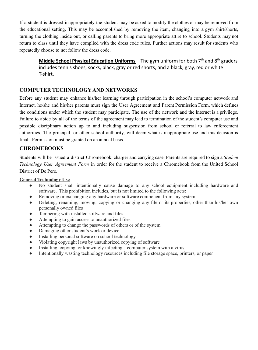If a student is dressed inappropriately the student may be asked to modify the clothes or may be removed from the educational setting. This may be accomplished by removing the item, changing into a gym shirt/shorts, turning the clothing inside out, or calling parents to bring more appropriate attire to school. Students may not return to class until they have complied with the dress code rules. Further actions may result for students who repeatedly choose to not follow the dress code.

**Middle School Physical Education Uniforms** – The gym uniform for both 7 th and 8 th graders includes tennis shoes, socks, black, gray or red shorts, and a black, gray, red or white T-shirt.

### **COMPUTER TECHNOLOGY AND NETWORKS**

Before any student may enhance his/her learning through participation in the school's computer network and Internet, he/she and his/her parents must sign the User Agreement and Parent Permission Form, which defines the conditions under which the student may participate. The use of the network and the Internet is a privilege. Failure to abide by all of the terms of the agreement may lead to termination of the student's computer use and possible disciplinary action up to and including suspension from school or referral to law enforcement authorities. The principal, or other school authority, will deem what is inappropriate use and this decision is final. Permission must be granted on an annual basis.

### **CHROMEBOOKS**

Students will be issued a district Chromebook, charger and carrying case. Parents are required to sign a *Student Technology User Agreement Form* in order for the student to receive a Chromebook from the United School District of De Pere.

#### **General Technology Use**

- No student shall intentionally cause damage to any school equipment including hardware and software. This prohibition includes, but is not limited to the following acts:
- Removing or exchanging any hardware or software component from any system
- Deleting, renaming, moving, copying or changing any file or its properties, other than his/her own personally owned files
- Tampering with installed software and files
- Attempting to gain access to unauthorized files
- Attempting to change the passwords of others or of the system
- Damaging other student's work or device
- Installing personal software on school technology
- Violating copyright laws by unauthorized copying of software
- Installing, copying, or knowingly infecting a computer system with a virus
- Intentionally wasting technology resources including file storage space, printers, or paper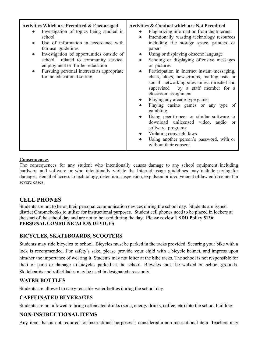#### **Consequences**

The consequences for any student who intentionally causes damage to any school equipment including hardware and software or who intentionally violate the Internet usage guidelines may include paying for damages, denial of access to technology, detention, suspension, expulsion or involvement of law enforcement in severe cases.

# **CELL PHONES**

Students are not to be on their personal communication devices during the school day. Students are issued district Chromebooks to utilize for instructional purposes. Student cell phones need to be placed in lockers at the start of the school day and are not to be used during the day. **Please review USDD Policy 5136: PERSONAL COMMUNICATION DEVICES**

#### **BICYCLES, SKATEBOARDS, SCOOTERS**

Students may ride bicycles to school. Bicycles must be parked in the racks provided. Securing your bike with a lock is recommended. For safety's sake, please provide your child with a bicycle helmet, and impress upon him/her the importance of wearing it. Students may not loiter at the bike racks. The school is not responsible for theft of parts or damage to bicycles parked at the school. Bicycles must be walked on school grounds. Skateboards and rollerblades may be used in designated areas only.

#### **WATER BOTTLES**

Students are allowed to carry reusable water bottles during the school day.

#### **CAFFEINATED BEVERAGES**

Students are not allowed to bring caffeinated drinks (soda, energy drinks, coffee, etc) into the school building.

#### **NON-INSTRUCTIONAL ITEMS**

Any item that is not required for instructional purposes is considered a non-instructional item. Teachers may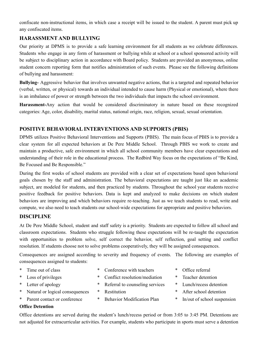confiscate non-instructional items, in which case a receipt will be issued to the student. A parent must pick up any confiscated items.

# **HARASSMENT AND BULLYING**

Our priority at DPMS is to provide a safe learning environment for all students as we celebrate differences. Students who engage in any form of harassment or bullying while at school or a school sponsored activity will be subject to disciplinary action in accordance with Board policy. Students are provided an anonymous, online student concern reporting form that notifies administration of such events. Please see the following definitions of bullying and harassment:

**Bullying-** Aggressive behavior that involves unwanted negative actions, that is a targeted and repeated behavior (verbal, written, or physical) towards an individual intended to cause harm (Physical or emotional), where there is an imbalance of power or strength between the two individuals that impacts the school environment.

**Harassment-**Any action that would be considered discriminatory in nature based on these recognized categories: Age, color, disability, marital status, national origin, race, religion, sexual, sexual orientation.

### **POSITIVE BEHAVIORAL INTERVENTIONS AND SUPPORTS (PBIS)**

DPMS utilizes Positive Behavioral Interventions and Supports (PBIS). The main focus of PBIS is to provide a clear system for all expected behaviors at De Pere Middle School. Through PBIS we work to create and maintain a productive, safe environment in which all school community members have clear expectations and understanding of their role in the educational process. The Redbird Way focus on the expectations of "Be Kind, Be Focused and Be Responsible."

During the first weeks of school students are provided with a clear set of expectations based upon behavioral goals chosen by the staff and administration. The behavioral expectations are taught just like an academic subject, are modeled for students, and then practiced by students. Throughout the school year students receive positive feedback for positive behaviors. Data is kept and analyzed to make decisions on which student behaviors are improving and which behaviors require re-teaching. Just as we teach students to read, write and compute, we also need to teach students our school-wide expectations for appropriate and positive behaviors.

#### **DISCIPLINE**

At De Pere Middle School, student and staff safety is a priority. Students are expected to follow all school and classroom expectations. Students who struggle following these expectations will be re-taught the expectation with opportunities to problem solve, self correct the behavior, self reflection, goal setting and conflict resolution. If students choose not to solve problems cooperatively, they will be assigned consequences.

Consequences are assigned according to severity and frequency of events. The following are examples of consequences assigned to students:

- 
- 
- 
- \* Natural or logical consequences \* Restitution \* After school detention
- Parent contact or conference  $*$  Behavior Modification Plan  $*$  In/out of school suspension
- Time out of class  $\bullet$  Conference with teachers  $\bullet$  Office referral
- \* Loss of privileges \* Conflict resolution/mediation \* Teacher detention
- \* Letter of apology \* Referral to counseling services \* Lunch/recess detention
	-
	-
- 
- 
- 
- 
- 

**Office Detention**

Office detentions are served during the student's lunch/recess period or from 3:05 to 3:45 PM. Detentions are not adjusted for extracurricular activities. For example, students who participate in sports must serve a detention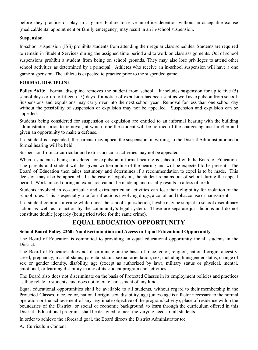before they practice or play in a game. Failure to serve an office detention without an acceptable excuse (medical/dental appointment or family emergency) may result in an in-school suspension.

#### **Suspension**

In-school suspension (ISS) prohibits students from attending their regular class schedules. Students are required to remain in Student Services during the assigned time period and to work on class assignments. Out of school suspensions prohibit a student from being on school grounds. They may also lose privileges to attend other school activities as determined by a principal. Athletes who receive an in-school suspension will have a one game suspension. The athlete is expected to practice prior to the suspended game.

#### **FORMAL DISCIPLINE**

**Policy 5610:** Formal discipline removes the student from school. It includes suspension for up to five (5) school days or up to fifteen (15) days if a notice of expulsion has been sent as well as expulsion from school. Suspensions and expulsions may carry over into the next school year. Removal for less than one school day without the possibility of suspension or expulsion may not be appealed. Suspension and expulsion can be appealed.

Students being considered for suspension or expulsion are entitled to an informal hearing with the building administrator, prior to removal, at which time the student will be notified of the charges against him/her and given an opportunity to make a defense.

If a student is suspended, the parents may appeal the suspension, in writing, to the District Administrator and a formal hearing will be held.

Suspension from co-curricular and extra-curricular activities may not be appealed.

When a student is being considered for expulsion, a formal hearing is scheduled with the Board of Education. The parents and student will be given written notice of the hearing and will be expected to be present. The Board of Education then takes testimony and determines if a recommendation to expel is to be made. This decision may also be appealed. In the case of expulsion, the student remains out of school during the appeal period. Work missed during an expulsion cannot be made up and usually results in a loss of credit.

Students involved in co-curricular and extra-curricular activities can lose their eligibility for violation of the school rules. This is especially true for infractions involving drugs, alcohol, and tobacco use or harassment.

If a student commits a crime while under the school's jurisdiction, he/she may be subject to school disciplinary action as well as to action by the community's legal system. These are separate jurisdictions and do not constitute double jeopardy (being tried twice for the same crime).

# **EQUAL EDUCATION OPPORTUNITY**

#### **School Board Policy 2260: Nondiscrimination and Access to Equal Educational Opportunity**

The Board of Education is committed to providing an equal educational opportunity for all students in the District.

The Board of Education does not discriminate on the basis of, race, color, religion, national origin, ancestry, creed, pregnancy, marital status, parental status, sexual orientation, sex, including transgender status, change of sex or gender identity, disability, age (except as authorized by law), military status or physical, mental, emotional, or learning disability in any of its student program and activities.

The Board also does not discriminate on the basis of Protected Classes in its employment policies and practices as they relate to students, and does not tolerate harassment of any kind.

Equal educational opportunities shall be available to all students, without regard to their membership in the Protected Classes, race, color, national origin, sex, disability, age (unless age is a factor necessary to the normal operation or the achievement of any legitimate objective of the program/activity), place of residence within the boundaries of the District, or social or economic background, to learn through the curriculum offered in this District. Educational programs shall be designed to meet the varying needs of all students.

In order to achieve the aforesaid goal, the Board directs the District Administrator to:

A. Curriculum Content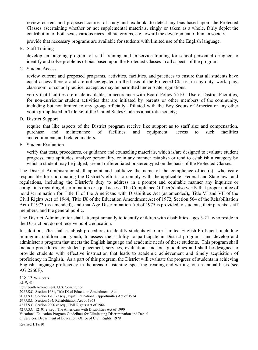review current and proposed courses of study and textbooks to detect any bias based upon the Protected Classes ascertaining whether or not supplemental materials, singly or taken as a whole, fairly depict the contribution of both sexes various races, ethnic groups, etc. toward the development of human society.

provide that necessary programs are available for students with limited use of the English language.

B. Staff Training

develop an ongoing program of staff training and in-service training for school personnel designed to identify and solve problems of bias based upon the Protected Classes in all aspects of the program.

C. Student Access

review current and proposed programs, activities, facilities, and practices to ensure that all students have equal access thereto and are not segregated on the basis of the Protected Classes in any duty, work, play, classroom, or school practice, except as may be permitted under State regulations.

verify that facilities are made available, in accordance with Board Policy 7510 - Use of District Facilities, for non-curricular student activities that are initiated by parents or other members of the community, including but not limited to any group officially affiliated with the Boy Scouts of America or any other youth group listed in Title 36 of the United States Code as a patriotic society;

D. District Support

require that like aspects of the District program receive like support as to staff size and compensation, purchase and maintenance of facilities and equipment, access to such facilities and equipment, and related matters.

E. Student Evaluation

verify that tests, procedures, or guidance and counseling materials, which is/are designed to evaluate student progress, rate aptitudes, analyze personality, or in any manner establish or tend to establish a category by which a student may be judged, are not differentiated or stereotyped on the basis of the Protected Classes.

The District Administrator shall appoint and publicize the name of the compliance officer(s) who is/are responsible for coordinating the District's efforts to comply with the applicable Federal and State laws and regulations, including the District's duty to address in a prompt and equitable manner any inquiries or complaints regarding discrimination or equal access. The Compliance Officer(s) also verify that proper notice of nondiscrimination for Title II of the Americans with Disabilities Act (as amended),, Title VI and VII of the Civil Rights Act of 1964, Title IX of the Education Amendment Act of 1972, Section 504 of the Rehabilitation Act of 1973 (as amended), and that Age Discrimination Act of 1975 is provided to students, their parents, staff members, and the general public.

The District Administrator shall attempt annually to identify children with disabilities, ages 3-21, who reside in the District but do not receive public education.

In addition, s/he shall establish procedures to identify students who are Limited English Proficient, including immigrant children and youth, to assess their ability to participate in District programs, and develop and administer a program that meets the English language and academic needs of these students. This program shall include procedures for student placement, services, evaluation, and exit guidelines and shall be designed to provide students with effective instruction that leads to academic achievement and timely acquisition of proficiency in English. As a part of this program, the District will evaluate the progress of students in achieving English language proficiency in the areas of listening, speaking, reading and writing, on an annual basis (see AG 2260F).

118.13 Wis. Stats. P.I. 9, 41 Fourteenth Amendment, U.S. Constitution 20 U.S.C. Section 1681, Title IX of Education Amendments Act 20 U.S.C. Section 1701 et seq., Equal Educational Opportunities Act of 1974 29 U.S.C. Section 794, Rehabilitation Act of 1973 42 U.S.C. Section 2000 et seq., Civil Rights Act of 1964 42 U.S.C. 12101 et seq., The Americans with Disabilities Act of 1990 Vocational Education Program Guidelines for Eliminating Discrimination and Denial of Services, Department of Education, Office of Civil Rights, 1979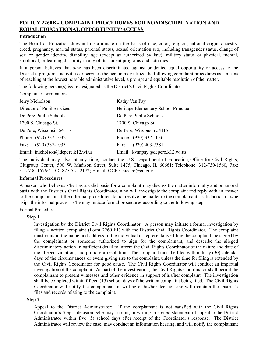### **POLICY 2260B - COMPLAINT PROCEDURES FOR NONDISCRIMINATION AND EQUAL EDUCATIONAL OPPORTUNITY/ACCESS**

#### **Introduction**

The Board of Education does not discriminate on the basis of race, color, religion, national origin, ancestry, creed, pregnancy, marital status, parental status, sexual orientation sex, including transgender status, change of sex or gender identity, disability, age (except as authorized by law), military status or physical, mental, emotional, or learning disability in any of its student programs and activities.

If a person believes that s/he has been discriminated against or denied equal opportunity or access to the District's programs, activities or services the person may utilize the following complaint procedures as a means of reaching at the lowest possible administrative level, a prompt and equitable resolution of the matter.

The following person(s) is/are designated as the District's Civil Rights Coordinator:

Complaint Coordinators

| Jerry Nicholson                    | Kathy Van Pay                        |
|------------------------------------|--------------------------------------|
| Director of Pupil Services         | Heritage Elementary School Principal |
| De Pere Public Schools             | De Pere Public Schools               |
| 1700 S. Chicago St.                | 1700 S. Chicago St.                  |
| De Pere, Wisconsin 54115           | De Pere, Wisconsin 54115             |
| Phone: (920) 337-1032              | Phone: (920) 337-1036                |
| $(920)$ 337-1033<br>Fax:           | $(920)$ 403-7381<br>Fax:             |
| Email: inicholson@depere.k12.wi.us | Email: kvanpay@depere.k12.wi.us      |

The individual may also, at any time, contact the U.S. Department of Education, Office for Civil Rights, Citigroup Center, 500 W. Madison Street, Suite 1475, Chicago, IL 60661; Telephone: 312-730-1560, Fax: 312-730-1576; TDD: 877-521-2172; E-mail: OCR.Chicago@ed.gov.

#### **Informal Procedures**

A person who believes s/he has a valid basis for a complaint may discuss the matter informally and on an oral basis with the District's Civil Rights Coordinator, who will investigate the complaint and reply with an answer to the complainant. If the informal procedures do not resolve the matter to the complainant's satisfaction or s/he skips the informal process, s/he may initiate formal procedures according to the following steps:

Formal Procedure

#### **Step 1**

Investigation by the District Civil Rights Coordinator: A person may initiate a formal investigation by filing a written complaint (Form 2260 F1) with the District Civil Rights Coordinator. The complaint must contain the name and address of the individual or representative filing the complaint, be signed by the complainant or someone authorized to sign for the complainant, and describe the alleged discriminatory action in sufficient detail to inform the Civil Rights Coordinator of the nature and date of the alleged violation, and propose a resolution. The complaint must be filed within thirty (30) calendar days of the circumstances or event giving rise to the complaint, unless the time for filing is extended by the Civil Rights Coordinator for good cause. The Civil Rights Coordinator will conduct an impartial investigation of the complaint. As part of the investigation, the Civil Rights Coordinator shall permit the complainant to present witnesses and other evidence in support of his/her complaint. The investigation shall be completed within fifteen (15) school days of the written complaint being filed. The Civil Rights Coordinator will notify the complainant in writing of his/her decision and will maintain the District's files and records relating to the complaint.

#### **Step 2**

Appeal to the District Administrator: If the complainant is not satisfied with the Civil Rights Coordinator's Step 1 decision, s/he may submit, in writing, a signed statement of appeal to the District Administrator within five (5) school days after receipt of the Coordinator's response. The District Administrator will review the case, may conduct an information hearing, and will notify the complainant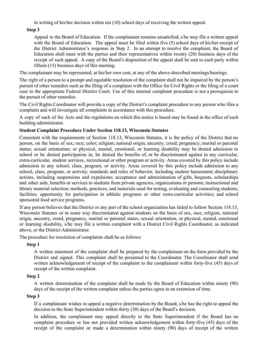in writing of his/her decision within ten (10) school days of receiving the written appeal.

#### **Step 3**

Appeal to the Board of Education: If the complainant remains unsatisfied, s/he may file a written appeal with the Board of Education. The appeal must be filed within five (5) school days of his/her receipt of the District Administrator's response in Step 2. In an attempt to resolve the complaint, the Board of Education shall meet with the parties and their representatives within twenty (20) business days of the receipt of such appeal. A copy of the Board's disposition of the appeal shall be sent to each party within fifteen (15) business days of this meeting.

The complainant may be represented, at his/her own cost, at any of the above-described meetings/hearings.

The right of a person to a prompt and equitable resolution of the complaint shall not be impaired by the person's pursuit of other remedies such as the filing of a complaint with the Office for Civil Rights or the filing of a court case in the appropriate Federal District Court. Use of this internal complaint procedure is not a prerequisite to the pursuit of other remedies.

The Civil Rights Coordinator will provide a copy of the District's complaint procedure to any person who files a complaint and will investigate all complaints in accordance with this procedure.

A copy of each of the Acts and the regulations on which this notice is based may be found in the office of each building administrator.

#### **Student Complaint Procedure Under Section 118.13, Wisconsin Statutes**

Consistent with the requirements of Section 118.13, Wisconsin Statutes, it is the policy of the District that no person, on the basis of sex; race; color; religion; national origin; ancestry; creed; pregnancy; marital or parental status; sexual orientation; or physical, mental, emotional, or learning disability may be denied admission to school or be denied participation in, be denied the benefits of, or be discriminated against in any curricular, extra-curricular, student services, recreational or other program or activity. Areas covered by this policy include admission to any school, class, program, or activity. Areas covered by this policy include admission to any school, class, program, or activity; standards and rules of behavior, including student harassment; disciplinary actions, including suspensions and expulsions; acceptance and administration of gifts, bequests, scholarships and other aids, benefits or services to students from private agencies, organizations or persons; instructional and library material selection; methods, practices, and materials used for testing, evaluating and counseling students; facilities; opportunity for participation in athletic programs or other extra-curricular activities; and school sponsored food service programs.

If any person believes that the District or any part of the school organization has failed to follow Section 118.13, Wisconsin Statutes or in some way discriminated against students on the basis of sex, race, religion, national origin, ancestry, creed, pregnancy, marital or parental status, sexual orientation, or physical, mental, emotional or learning disability, s/he may file a written complaint with a District Civil Rights Coordinator, as indicated above, or the District Administrator.

The procedure for resolution of complaints shall be as follows:

#### **Step 1**

A written statement of the complaint shall be prepared by the complainant on the form provided by the District and signed. This complaint shall be presented to the Coordinator. The Coordinator shall send written acknowledgement of receipt of the complaint to the complainant within forty-five (45) days of receipt of the written complaint.

#### **Step 2**

A written determination of the complaint shall be made by the Board of Education within ninety (90) days of the receipt of the written complaint unless the parties agree to an extension of time.

#### **Step 3**

If a complainant wishes to appeal a negative determination by the Board, s/he has the right to appeal the decision to the State Superintendent within thirty (30) days of the Board's decision.

In addition, the complainant may appeal directly to the State Superintendent if the Board has no complaint procedure or has not provided written acknowledgement within forty-five (45) days of the receipt of the complaint or made a determination within ninety (90) days of receipt of the written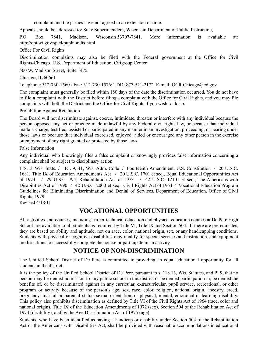complaint and the parties have not agreed to an extension of time.

Appeals should be addressed to: State Superintendent, Wisconsin Department of Public Instruction,

P.O. Box 7841, Madison, Wisconsin 53707-7841. More information is available at: http://dpi.wi.gov/sped/puplnondis.html

Office For Civil Rights

Discrimination complaints may also be filed with the Federal government at the Office for Civil Rights-Chicago, U.S. Department of Education, Citigroup Center

500 W. Madison Street, Suite 1475

Chicago, IL 60661

Telephone: 312-730-1560 / Fax: 312-730-1576; TDD: 877-521-2172 E-mail: OCR.Chicago@ed.gov

The complaint must generally be filed within 180 days of the date the discrimination occurred. You do not have to file a complaint with the District before filing a complaint with the Office for Civil Rights, and you may file complaints with both the District and the Office for Civil Rights if you wish to do so.

Prohibition Against Retaliation

The Board will not discriminate against, coerce, intimidate, threaten or interfere with any individual because the person opposed any act or practice made unlawful by any Federal civil rights law, or because that individual made a charge, testified, assisted or participated in any manner in an investigation, proceeding, or hearing under those laws or because that individual exercised, enjoyed, aided or encouraged any other person in the exercise or enjoyment of any right granted or protected by those laws.

False Information

Any individual who knowingly files a false complaint or knowingly provides false information concerning a complaint shall be subject to disciplinary action.

118.13 Wis. Stats. / P.I. 9, 41, Wis. Adm. Code / Fourteenth Amendment, U.S. Constitution / 20 U.S.C. 1681, Title IX of Education Amendments Act / 20 U.S.C. 1701 et seq., Equal Educational Opportunities Act of 1974 / 29 U.S.C. 794, Rehabilitation Act of 1973 / 42 U.S.C. 12101 et seq., The Americans with Disabilities Act of 1990 / 42 U.S.C. 2000 et seq., Civil Rights Act of 1964 / Vocational Education Program Guidelines for Eliminating Discrimination and Denial of Services, Department of Education, Office of Civil Rights, 1979

Revised 4/18/11

# **VOCATIONAL OPPORTUNITIES**

All activities and courses, including career technical education and physical education courses at De Pere High School are available to all students as required by Title VI, Title IX and Section 504. If there are prerequisites, they are based on ability and aptitude, not on race, color, national origin, sex, or any handicapping conditions. Students with physical or cognitive disabilities may qualify for special services and instruction, and equipment modifications to successfully complete the course or participate in an activity.

# **NOTICE OF NON-DISCRIMINATION**

The Unified School District of De Pere is committed to providing an equal educational opportunity for all students in the district.

It is the policy of the Unified School District of De Pere, pursuant to s. 118.13, Wis. Statutes, and PI 9, that no person may be denied admission to any public school in this district or be denied participation in, be denied the benefits of, or be discriminated against in any curricular, extracurricular, pupil service, recreational, or other program or activity because of the person's age, sex, race, color, religion, national origin, ancestry, creed, pregnancy, marital or parental status, sexual orientation, or physical, mental, emotional or learning disability. This policy also prohibits discrimination as defined by Title VI of the Civil Rights Act of 1964 (race, color and national origin), Title IX of the Education Amendments of 1972 (sex), Section 504 of the Rehabilitation Act of 1973 (disability), and by the Age Discrimination Act of 1975 (age).

Students, who have been identified as having a handicap or disability under Section 504 of the Rehabilitation Act or the Americans with Disabilities Act, shall be provided with reasonable accommodations in educational